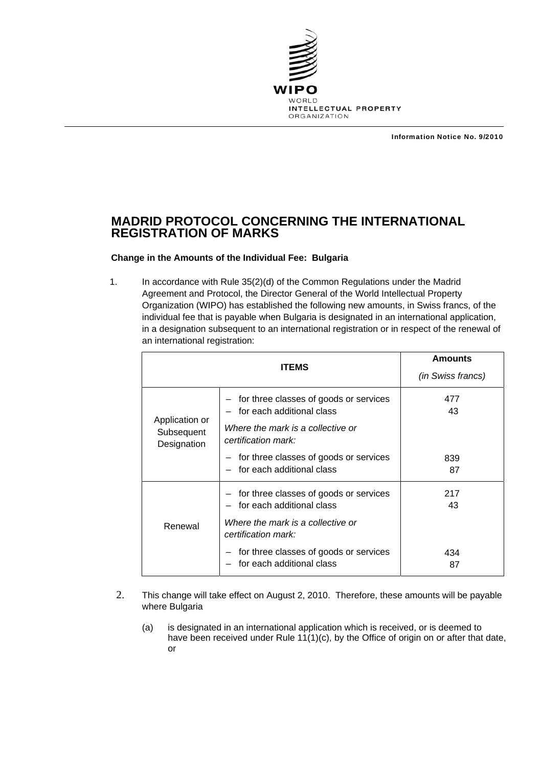

Information Notice No. 9/2010

## **MADRID PROTOCOL CONCERNING THE INTERNATIONAL REGISTRATION OF MARKS**

## **Change in the Amounts of the Individual Fee: Bulgaria**

1. In accordance with Rule 35(2)(d) of the Common Regulations under the Madrid Agreement and Protocol, the Director General of the World Intellectual Property Organization (WIPO) has established the following new amounts, in Swiss francs, of the individual fee that is payable when Bulgaria is designated in an international application, in a designation subsequent to an international registration or in respect of the renewal of an international registration:

| <b>ITEMS</b>                                |                                                                                                                                     | <b>Amounts</b><br>(in Swiss francs) |
|---------------------------------------------|-------------------------------------------------------------------------------------------------------------------------------------|-------------------------------------|
| Application or<br>Subsequent<br>Designation | - for three classes of goods or services<br>for each additional class<br>Where the mark is a collective or<br>certification mark:   | 477<br>43                           |
|                                             | - for three classes of goods or services<br>- for each additional class                                                             | 839<br>87                           |
| Renewal                                     | - for three classes of goods or services<br>- for each additional class<br>Where the mark is a collective or<br>certification mark: | 217<br>43                           |
|                                             | for three classes of goods or services<br>for each additional class                                                                 | 434<br>87                           |

- 2. This change will take effect on August 2, 2010. Therefore, these amounts will be payable where Bulgaria
	- (a) is designated in an international application which is received, or is deemed to have been received under Rule 11(1)(c), by the Office of origin on or after that date, or